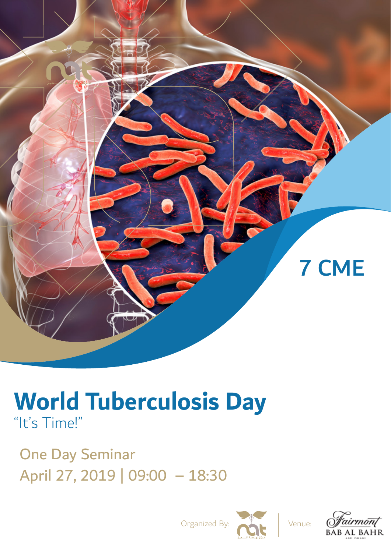

# **World Tuberculosis Day** "It's Time!"

One Day Seminar April 27, 2019 | 09:00 – 18:30



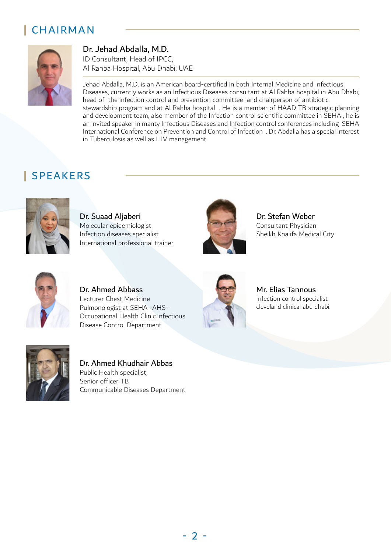#### **|** CHAIRMAN



#### Dr. Jehad Abdalla, M.D.

ID Consultant, Head of IPCC, Al Rahba Hospital, Abu Dhabi, UAE

Jehad Abdalla, M.D. is an American board-certified in both Internal Medicine and Infectious Diseases, currently works as an Infectious Diseases consultant at Al Rahba hospital in Abu Dhabi, head of the infection control and prevention committee and chairperson of antibiotic stewardship program and at Al Rahba hospital . He is a member of HAAD TB strategic planning and development team, also member of the Infection control scientific committee in SEHA , he is an invited speaker in manty Infectious Diseases and Infection control conferences including SEHA International Conference on Prevention and Control of Infection . Dr. Abdalla has a special interest in Tuberculosis as well as HIV management.

### **|** SPEAKERS



Dr. Suaad Aljaberi Molecular epidemiologist Infection diseases specialist International professional trainer



Dr. Stefan Weber Consultant Physician Sheikh Khalifa Medical City



Dr. Ahmed Abbass Lecturer Chest Medicine Pulmonologist at SEHA -AHS-Occupational Health Clinic.Infectious Disease Control Department



Mr. Elias Tannous Infection control specialist cleveland clinical abu dhabi.



Dr. Ahmed Khudhair Abbas Public Health specialist, Senior officer TB Communicable Diseases Department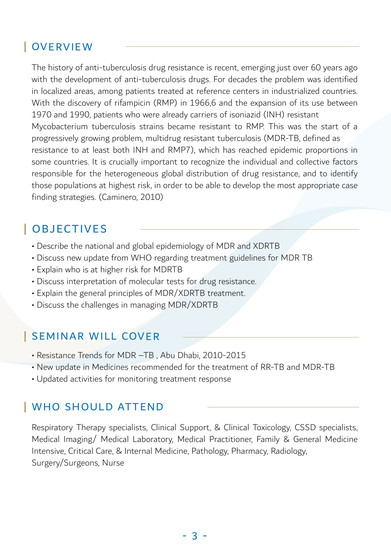### **|** OVERVIEW

The history of anti-tuberculosis drug resistance is recent, emerging just over 60 years ago with the development of anti-tuberculosis drugs. For decades the problem was identified in localized areas, among patients treated at reference centers in industrialized countries. With the discovery of rifampicin (RMP) in 1966,6 and the expansion of its use between 1970 and 1990, patients who were already carriers of isoniazid (INH) resistant Mycobacterium tuberculosis strains became resistant to RMP. This was the start of a progressively growing problem, multidrug resistant tuberculosis (MDR-TB, defined as resistance to at least both INH and RMP7), which has reached epidemic proportions in some countries. It is crucially important to recognize the individual and collective factors responsible for the heterogeneous global distribution of drug resistance, and to identify those populations at highest risk, in order to be able to develop the most appropriate case finding strategies. (Caminero, 2010)

### **|** OBJECTIVES

- Describe the national and global epidemiology of MDR and XDRTB
- Discuss new update from WHO regarding treatment guidelines for MDR TB
- Explain who is at higher risk for MDRTB
- Discuss interpretation of molecular tests for drug resistance.
- Explain the general principles of MDR/XDRTB treatment.
- Discuss the challenges in managing MDR/XDRTB

#### **|** SEMINAR WILL COVER

- Resistance Trends for MDR –TB , Abu Dhabi, 2010-2015
- New update in Medicines recommended for the treatment of RR-TB and MDR-TB
- Updated activities for monitoring treatment response

#### **|** WHO SHOULD ATTEND

Respiratory Therapy specialists, Clinical Support, & Clinical Toxicology, CSSD specialists, Medical Imaging/ Medical Laboratory, Medical Practitioner, Family & General Medicine Intensive, Critical Care, & Internal Medicine, Pathology, Pharmacy, Radiology, Surgery/Surgeons, Nurse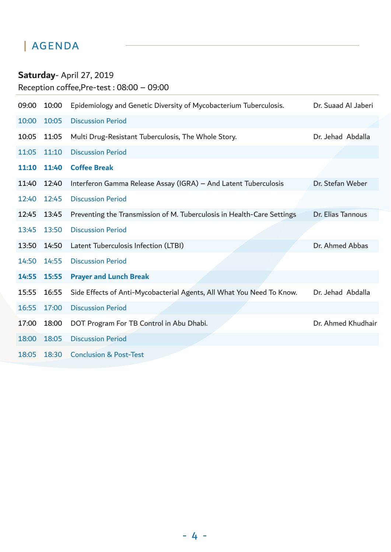### **|** AGENDA

### **Saturday**- April 27, 2019

Reception coffee,Pre-test : 08:00 – 09:00

| 09:00 | 10:00 | Epidemiology and Genetic Diversity of Mycobacterium Tuberculosis.      | Dr. Suaad Al Jaberi |
|-------|-------|------------------------------------------------------------------------|---------------------|
| 10:00 | 10:05 | <b>Discussion Period</b>                                               |                     |
| 10:05 | 11:05 | Multi Drug-Resistant Tuberculosis, The Whole Story.                    | Dr. Jehad Abdalla   |
| 11:05 | 11:10 | <b>Discussion Period</b>                                               |                     |
| 11:10 | 11:40 | <b>Coffee Break</b>                                                    |                     |
| 11:40 | 12:40 | Interferon Gamma Release Assay (IGRA) - And Latent Tuberculosis        | Dr. Stefan Weber    |
| 12:40 | 12:45 | <b>Discussion Period</b>                                               |                     |
| 12:45 | 13:45 | Preventing the Transmission of M. Tuberculosis in Health-Care Settings | Dr. Elias Tannous   |
| 13:45 | 13:50 | <b>Discussion Period</b>                                               |                     |
| 13:50 | 14:50 | Latent Tuberculosis Infection (LTBI)                                   | Dr. Ahmed Abbas     |
| 14:50 | 14:55 | <b>Discussion Period</b>                                               |                     |
| 14:55 | 15:55 | <b>Prayer and Lunch Break</b>                                          |                     |
| 15:55 | 16:55 | Side Effects of Anti-Mycobacterial Agents, All What You Need To Know.  | Dr. Jehad Abdalla   |
| 16:55 | 17:00 | <b>Discussion Period</b>                                               |                     |
| 17:00 | 18:00 | DOT Program For TB Control in Abu Dhabi.                               | Dr. Ahmed Khudhair  |
| 18:00 | 18:05 | <b>Discussion Period</b>                                               |                     |
| 18:05 | 18:30 | <b>Conclusion &amp; Post-Test</b>                                      |                     |